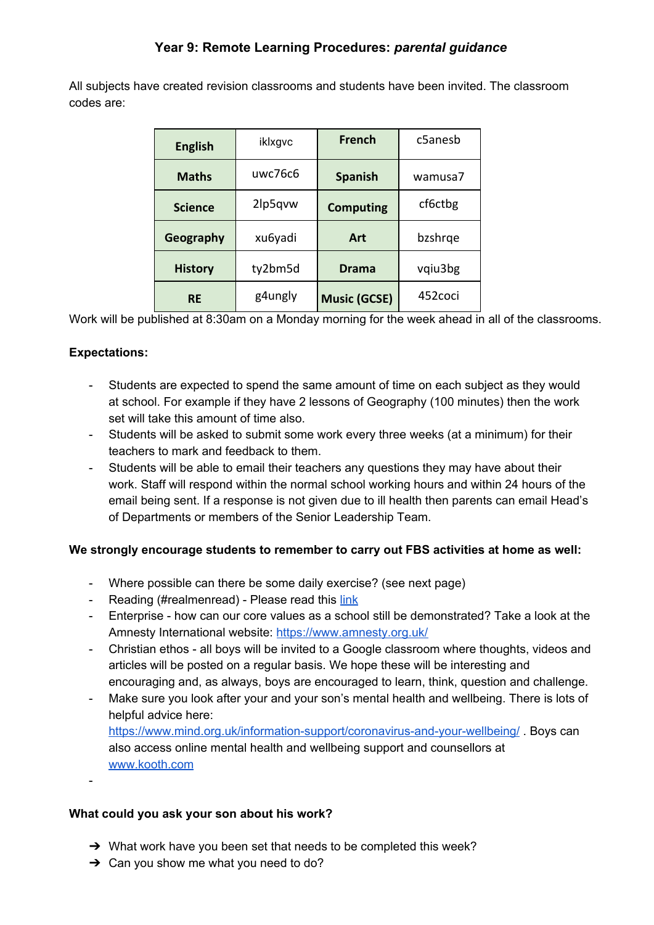## **Year 9: Remote Learning Procedures:** *parental guidance*

All subjects have created revision classrooms and students have been invited. The classroom codes are:

| <b>English</b> | iklxgvc | <b>French</b>       | c5anesb |
|----------------|---------|---------------------|---------|
| <b>Maths</b>   | uwc76c6 | <b>Spanish</b>      | wamusa7 |
| <b>Science</b> | 2lp5qvw | <b>Computing</b>    | cf6ctbg |
| Geography      | xu6yadi | Art                 | bzshrge |
| <b>History</b> | ty2bm5d | <b>Drama</b>        | vqiu3bg |
| <b>RE</b>      | g4ungly | <b>Music (GCSE)</b> | 452coci |

Work will be published at 8:30am on a Monday morning for the week ahead in all of the classrooms.

### **Expectations:**

-

- Students are expected to spend the same amount of time on each subject as they would at school. For example if they have 2 lessons of Geography (100 minutes) then the work set will take this amount of time also.
- Students will be asked to submit some work every three weeks (at a minimum) for their teachers to mark and feedback to them.
- Students will be able to email their teachers any questions they may have about their work. Staff will respond within the normal school working hours and within 24 hours of the email being sent. If a response is not given due to ill health then parents can email Head's of Departments or members of the Senior Leadership Team.

### **We strongly encourage students to remember to carry out FBS activities at home as well:**

- Where possible can there be some daily exercise? (see next page)
- Reading (#realmenread) Please read this [link](https://docs.google.com/document/d/1knSYcsOOGcFy1AO3hGzdqbm3yfsbWLJzxkEkZuPF_4M/edit?usp=sharing)
- Enterprise how can our core values as a school still be demonstrated? Take a look at the Amnesty International website: <https://www.amnesty.org.uk/>
- Christian ethos all boys will be invited to a Google classroom where thoughts, videos and articles will be posted on a regular basis. We hope these will be interesting and encouraging and, as always, boys are encouraged to learn, think, question and challenge.
- Make sure you look after your and your son's mental health and wellbeing. There is lots of helpful advice here: <https://www.mind.org.uk/information-support/coronavirus-and-your-wellbeing/> . Boys can also access online mental health and wellbeing support and counsellors at [www.kooth.com](http://www.kooth.com/)

### **What could you ask your son about his work?**

- $\rightarrow$  What work have you been set that needs to be completed this week?
- $\rightarrow$  Can you show me what you need to do?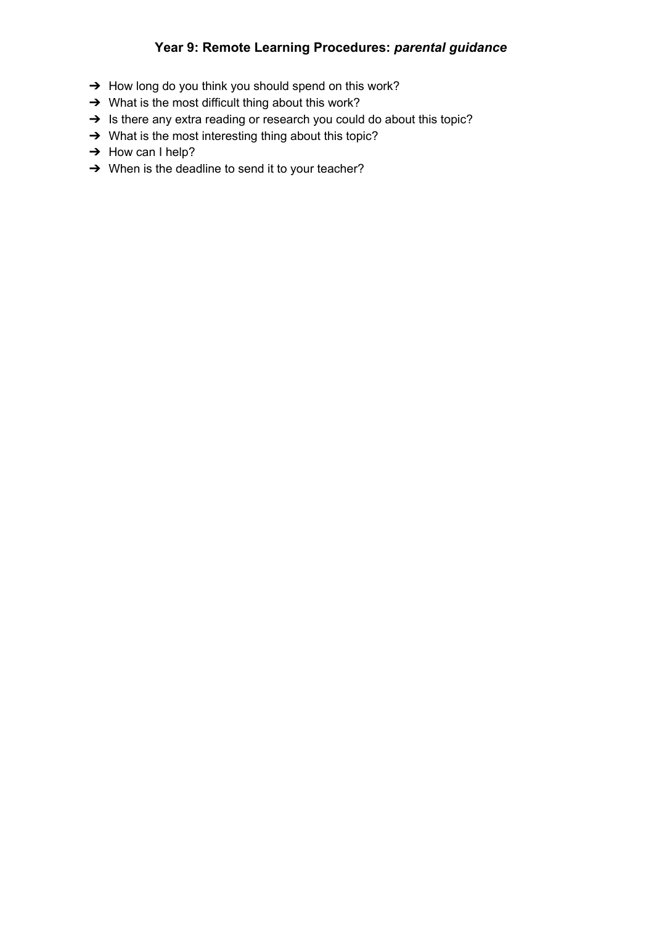# **Year 9: Remote Learning Procedures:** *parental guidance*

- → How long do you think you should spend on this work?
- → What is the most difficult thing about this work?
- → Is there any extra reading or research you could do about this topic?
- → What is the most interesting thing about this topic?
- → How can I help?
- ➔ When is the deadline to send it to your teacher?